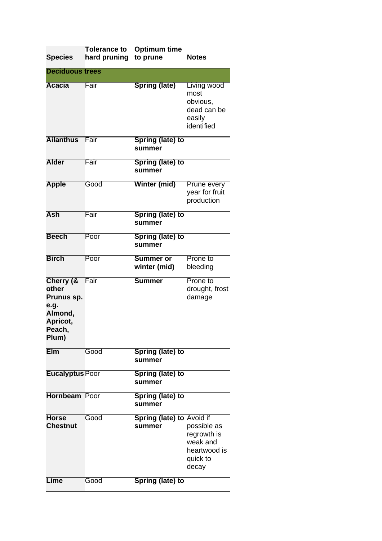| <b>Species</b>                                                                     | <b>Tolerance to</b><br>hard pruning | <b>Optimum time</b><br>to prune     | <b>Notes</b>                                                                |
|------------------------------------------------------------------------------------|-------------------------------------|-------------------------------------|-----------------------------------------------------------------------------|
| <b>Deciduous trees</b>                                                             |                                     |                                     |                                                                             |
| <b>Acacia</b>                                                                      | Fair                                | <b>Spring (late)</b>                | Living wood<br>most<br>obvious,<br>dead can be<br>easily<br>identified      |
| <b>Ailanthus</b>                                                                   | Fair                                | <b>Spring (late) to</b><br>summer   |                                                                             |
| <b>Alder</b>                                                                       | Fair                                | Spring (late) to<br>summer          |                                                                             |
| <b>Apple</b>                                                                       | Good                                | Winter (mid)                        | Prune every<br>year for fruit<br>production                                 |
| <b>Ash</b>                                                                         | Fair                                | <b>Spring (late) to</b><br>summer   |                                                                             |
| <b>Beech</b>                                                                       | Poor                                | <b>Spring (late) to</b><br>summer   |                                                                             |
| <b>Birch</b>                                                                       | Poor                                | <b>Summer or</b><br>winter (mid)    | Prone to<br>bleeding                                                        |
| Cherry (&<br>other<br>Prunus sp.<br>e.g.<br>Almond,<br>Apricot,<br>Peach,<br>Plum) | Fair                                | <b>Summer</b>                       | Prone to<br>drought, frost<br>damage                                        |
| <b>Elm</b>                                                                         | Good                                | Spring (late) to<br>summer          |                                                                             |
| <b>Eucalyptus Poor</b>                                                             |                                     | Spring (late) to<br>summer          |                                                                             |
| <b>Hornbeam</b> Poor                                                               |                                     | <b>Spring (late) to</b><br>summer   |                                                                             |
| <b>Horse</b><br><b>Chestnut</b>                                                    | Good                                | Spring (late) to Avoid if<br>summer | possible as<br>regrowth is<br>weak and<br>heartwood is<br>quick to<br>decay |
| <b>Lime</b>                                                                        | Good                                | Spring (late) to                    |                                                                             |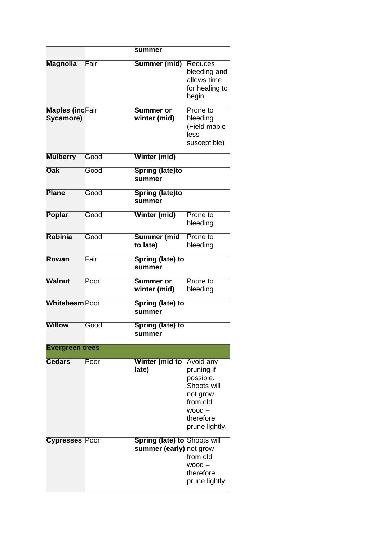|                                     |      | summer                                                         |                                                                                                                               |
|-------------------------------------|------|----------------------------------------------------------------|-------------------------------------------------------------------------------------------------------------------------------|
| <b>Magnolia</b>                     | Fair | Summer (mid)                                                   | <b>Reduces</b><br>bleeding and<br>allows time<br>for healing to<br>begin                                                      |
| <b>Maples (incFair</b><br>Sycamore) |      | <b>Summer or</b><br>winter (mid)                               | Prone to<br>bleeding<br>(Field maple<br>less<br>susceptible)                                                                  |
| <b>Mulberry</b>                     | Good | Winter (mid)                                                   |                                                                                                                               |
| <b>Oak</b>                          | Good | <b>Spring (late)to</b><br>summer                               |                                                                                                                               |
| <b>Plane</b>                        | Good | <b>Spring (late)to</b><br>summer                               |                                                                                                                               |
| <b>Poplar</b>                       | Good | Winter (mid)                                                   | Prone to<br>bleeding                                                                                                          |
| <b>Robinia</b>                      | Good | Summer (mid<br>to late)                                        | Prone to<br>bleeding                                                                                                          |
| <b>Rowan</b>                        | Fair | Spring (late) to<br>summer                                     |                                                                                                                               |
| <b>Walnut</b>                       | Poor | <b>Summer or</b><br>winter (mid)                               | Prone to<br>bleeding                                                                                                          |
| <b>Whitebeam Poor</b>               |      | <b>Spring (late) to</b><br>summer                              |                                                                                                                               |
| Willow                              | Good | Spring (late) to<br>summer                                     |                                                                                                                               |
| <b>Evergreen trees</b>              |      |                                                                |                                                                                                                               |
| Cedars                              | Poor | Winter (mid to<br>late)                                        | <b>Avoid any</b><br>pruning if<br>possible.<br>Shoots will<br>not grow<br>from old<br>$wood -$<br>therefore<br>prune lightly. |
| <b>Cypresses Poor</b>               |      | <b>Spring (late) to Shoots will</b><br>summer (early) not grow | from old<br>$wood -$<br>therefore<br>prune lightly                                                                            |